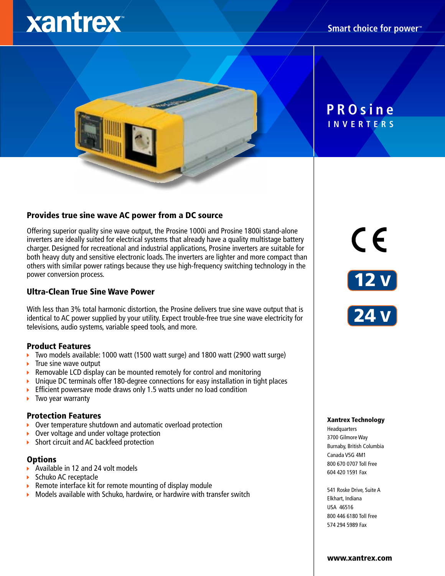# xantrex

# **INVERTERS PROsine**

# Provides true sine wave AC power from a DC source

Offering superior quality sine wave output, the Prosine 1000i and Prosine 1800i stand-alone inverters are ideally suited for electrical systems that already have a quality multistage battery charger. Designed for recreational and industrial applications, Prosine inverters are suitable for both heavy duty and sensitive electronic loads. The inverters are lighter and more compact than others with similar power ratings because they use high-frequency switching technology in the power conversion process.

# Ultra-Clean True Sine Wave Power

With less than 3% total harmonic distortion, the Prosine delivers true sine wave output that is identical to AC power supplied by your utility. Expect trouble-free true sine wave electricity for televisions, audio systems, variable speed tools, and more.

# Product Features

- Two models available: 1000 watt (1500 watt surge) and 1800 watt (2900 watt surge)
- True sine wave output ¥
- Removable LCD display can be mounted remotely for control and monitoring ¥
- Unique DC terminals offer 180-degree connections for easy installation in tight places К
- Efficient powersave mode draws only 1.5 watts under no load condition k
- Two year warranty К

# Protection Features

- Over temperature shutdown and automatic overload protection ь
- Over voltage and under voltage protection K
- Short circuit and AC backfeed protection K

# **Options**

- Available in 12 and 24 volt models k
- Schuko AC receptacle k
- Remote interface kit for remote mounting of display module k
- $\blacktriangleright$  Models available with Schuko, hardwire, or hardwire with transfer switch

 $c\epsilon$ 





#### Xantrex Technology

Headquarters 3700 Gilmore Way Burnaby, British Columbia Canada V5G 4M1 800 670 0707 Toll Free 604 420 1591 Fax

541 Roske Drive, Suite A Elkhart, Indiana USA 46516 800 446 6180 Toll Free 574 294 5989 Fax